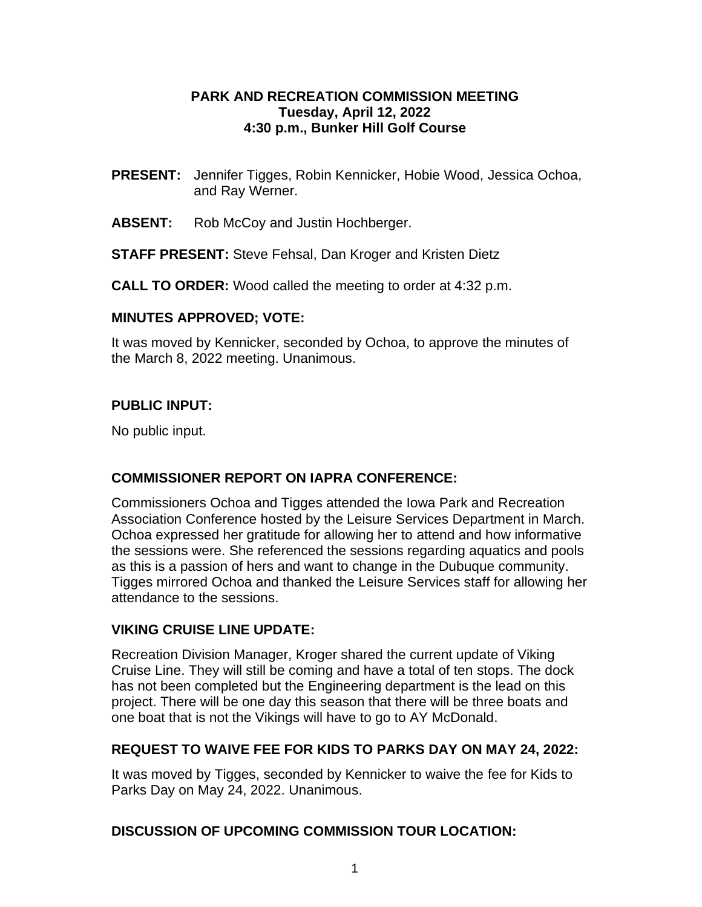#### **PARK AND RECREATION COMMISSION MEETING Tuesday, April 12, 2022 4:30 p.m., Bunker Hill Golf Course**

- **PRESENT:** Jennifer Tigges, Robin Kennicker, Hobie Wood, Jessica Ochoa, and Ray Werner.
- **ABSENT:** Rob McCoy and Justin Hochberger.

**STAFF PRESENT:** Steve Fehsal, Dan Kroger and Kristen Dietz

**CALL TO ORDER:** Wood called the meeting to order at 4:32 p.m.

#### **MINUTES APPROVED; VOTE:**

It was moved by Kennicker, seconded by Ochoa, to approve the minutes of the March 8, 2022 meeting. Unanimous.

### **PUBLIC INPUT:**

No public input.

### **COMMISSIONER REPORT ON IAPRA CONFERENCE:**

Commissioners Ochoa and Tigges attended the Iowa Park and Recreation Association Conference hosted by the Leisure Services Department in March. Ochoa expressed her gratitude for allowing her to attend and how informative the sessions were. She referenced the sessions regarding aquatics and pools as this is a passion of hers and want to change in the Dubuque community. Tigges mirrored Ochoa and thanked the Leisure Services staff for allowing her attendance to the sessions.

### **VIKING CRUISE LINE UPDATE:**

Recreation Division Manager, Kroger shared the current update of Viking Cruise Line. They will still be coming and have a total of ten stops. The dock has not been completed but the Engineering department is the lead on this project. There will be one day this season that there will be three boats and one boat that is not the Vikings will have to go to AY McDonald.

### **REQUEST TO WAIVE FEE FOR KIDS TO PARKS DAY ON MAY 24, 2022:**

It was moved by Tigges, seconded by Kennicker to waive the fee for Kids to Parks Day on May 24, 2022. Unanimous.

### **DISCUSSION OF UPCOMING COMMISSION TOUR LOCATION:**